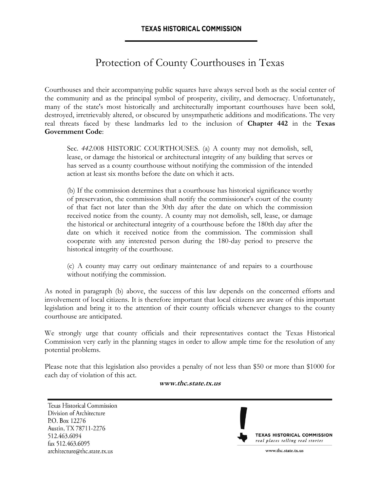# Protection of County Courthouses in Texas

Courthouses and their accompanying public squares have always served both as the social center of the community and as the principal symbol of prosperity, civility, and democracy. Unfortunately, many of the state's most historically and architecturally important courthouses have been sold, destroyed, irretrievably altered, or obscured by unsympathetic additions and modifications. The very real threats faced by these landmarks led to the inclusion of **Chapter 442** in the **Texas Government Code**:

Sec. *442.*008 HISTORIC COURTHOUSES. (a) A county may not demolish, sell, lease, or damage the historical or architectural integrity of any building that serves or has served as a county courthouse without notifying the commission of the intended action at least six months before the date on which it acts.

(b) If the commission determines that a courthouse has historical significance worthy of preservation, the commission shall notify the commissioner's court of the county of that fact not later than the 30th day after the date on which the commission received notice from the county. A county may not demolish, sell, lease, or damage the historical or architectural integrity of a courthouse before the 180th day after the date on which it received notice from the commission. The commission shall cooperate with any interested person during the 180-day period to preserve the historical integrity of the courthouse.

(c) A county may carry out ordinary maintenance of and repairs to a courthouse without notifying the commission.

As noted in paragraph (b) above, the success of this law depends on the concerned efforts and involvement of local citizens. It is therefore important that local citizens are aware of this important legislation and bring it to the attention of their county officials whenever changes to the county courthouse are anticipated.

We strongly urge that county officials and their representatives contact the Texas Historical Commission very early in the planning stages in order to allow ample time for the resolution of any potential problems.

Please note that this legislation also provides a penalty of not less than \$50 or more than \$1000 for each day of violation of this act.

#### **[www.thc.state.tx.us](http://www.thc.state.tx.us/)**

Texas Historical Commission Division of Architecture P.O. Box 12276 Austin, TX 78711-2276 512.463.6094 fax 512.463.6095 architecture@thc.state.tx.us



www.thc.state.tx.us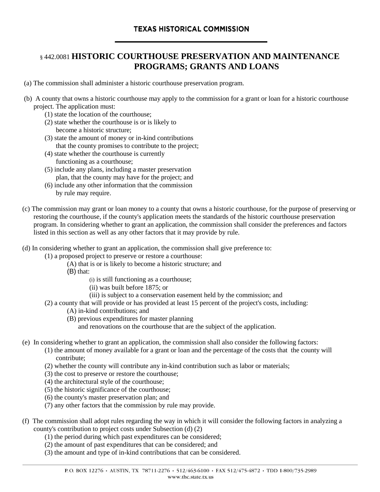### § 442.0081 **HISTORIC COURTHOUSE PRESERVATION AND MAINTENANCE PROGRAMS; GRANTS AND LOANS**

- (a) The commission shall administer a historic courthouse preservation program.
- (b) A county that owns a historic courthouse may apply to the commission for a grant or loan for a historic courthouse project. The application must:
	- (1) state the location of the courthouse;
	- (2) state whether the courthouse is or is likely to become a historic structure;
	- (3) state the amount of money or in-kind contributions that the county promises to contribute to the project;
	- (4) state whether the courthouse is currently functioning as a courthouse;
	- (5) include any plans, including a master preservation plan, that the county may have for the project; and
	- (6) include any other information that the commission by rule may require.
- (c) The commission may grant or loan money to a county that owns a historic courthouse, for the purpose of preserving or restoring the courthouse, if the county's application meets the standards of the historic courthouse preservation program. In considering whether to grant an application, the commission shall consider the preferences and factors listed in this section as well as any other factors that it may provide by rule.
- (d) In considering whether to grant an application, the commission shall give preference to:
	- (1) a proposed project to preserve or restore a courthouse:
		- (A) that is or is likely to become a historic structure; and
		- (B) that:
			- (i) is still functioning as a courthouse;
			- (ii) was built before 1875; or
			- (iii) is subject to a conservation easement held by the commission; and
	- (2) a county that will provide or has provided at least 15 percent of the project's costs, including:
		- (A) in-kind contributions; and
		- (B) previous expenditures for master planning
			- and renovations on the courthouse that are the subject of the application.
- (e) In considering whether to grant an application, the commission shall also consider the following factors:
	- (1) the amount of money available for a grant or loan and the percentage of the costs that the county will contribute;
	- (2) whether the county will contribute any in-kind contribution such as labor or materials;
	- (3) the cost to preserve or restore the courthouse;
	- (4) the architectural style of the courthouse;
	- (5) the historic significance of the courthouse;
	- (6) the county's master preservation plan; and
	- (7) any other factors that the commission by rule may provide.
- (f) The commission shall adopt rules regarding the way in which it will consider the following factors in analyzing a county's contribution to project costs under Subsection (d) (2)
	- (1) the period during which past expenditures can be considered;
	- (2) the amount of past expenditures that can be considered; and
	- (3) the amount and type of in-kind contributions that can be considered.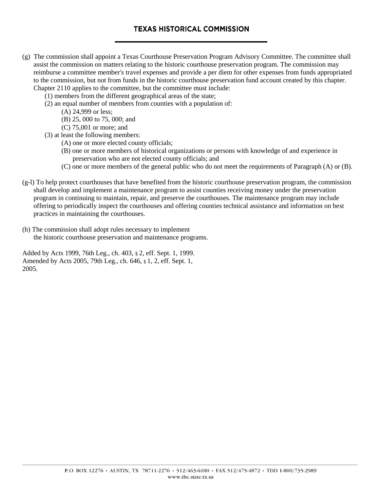- (g) The commission shall appoint a Texas Courthouse Preservation Program Advisory Committee. The committee shall assist the commission on matters relating to the historic courthouse preservation program. The commission may reimburse a committee member's travel expenses and provide a per diem for other expenses from funds appropriated to the commission, but not from funds in the historic courthouse preservation fund account created by this chapter. Chapter 2110 applies to the committee, but the committee must include:
	- (1) members from the different geographical areas of the state;
	- (2) an equal number of members from counties with a population of:
		- (A) 24,999 or less;
		- (B) 25, 000 to 75, 000; and
		- (C) 75,001 or more; and
	- (3) at least the following members:
		- (A) one or more elected county officials;
		- (B) one or more members of historical organizations or persons with knowledge of and experience in preservation who are not elected county officials; and
		- (C) one or more members of the general public who do not meet the requirements of Paragraph (A) or (B).
- $(g-1)$  To help protect courthouses that have benefited from the historic courthouse preservation program, the commission shall develop and implement a maintenance program to assist counties receiving money under the preservation program in continuing to maintain, repair, and preserve the courthouses. The maintenance program may include offering to periodically inspect the courthouses and offering counties technical assistance and information on best practices in maintaining the courthouses.
- (h) The commission shall adopt rules necessary to implement the historic courthouse preservation and maintenance programs.

Added by Acts 1999, 76th Leg., ch. 403, § 2, eff. Sept. 1, 1999. Amended by Acts 2005, 79th Leg., ch. 646, § 1, 2, eff. Sept. 1, 2005.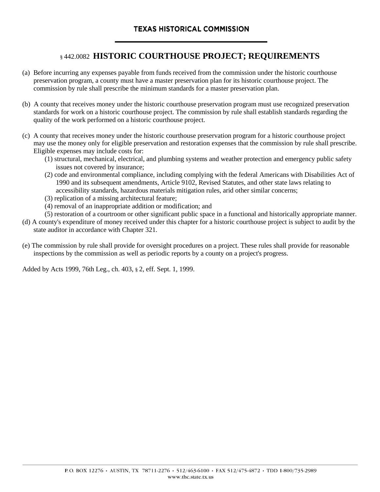## § 442.0082 **HISTORIC COURTHOUSE PROJECT; REQUIREMENTS**

- (a) Before incurring any expenses payable from funds received from the commission under the historic courthouse preservation program, a county must have a master preservation plan for its historic courthouse project. The commission by rule shall prescribe the minimum standards for a master preservation plan.
- (b) A county that receives money under the historic courthouse preservation program must use recognized preservation standards for work on a historic courthouse project. The commission by rule shall establish standards regarding the quality of the work performed on a historic courthouse project.
- (c) A county that receives money under the historic courthouse preservation program for a historic courthouse project may use the money only for eligible preservation and restoration expenses that the commission by rule shall prescribe. Eligible expenses may include costs for:
	- (1) structural, mechanical, electrical, and plumbing systems and weather protection and emergency public safety issues not covered by insurance;
	- (2) code and environmental compliance, including complying with the federal Americans with Disabilities Act of 1990 and its subsequent amendments, Article 9102, Revised Statutes, and other state laws relating to accessibility standards, hazardous materials mitigation rules, arid other similar concerns;
	- (3) replication of a missing architectural feature;
	- (4) removal of an inappropriate addition or modification; and
	- (5) restoration of a courtroom or other significant public space in a functional and historically appropriate manner.
- (d) A county's expenditure of money received under this chapter for a historic courthouse project is subject to audit by the state auditor in accordance with Chapter 321.
- (e) The commission by rule shall provide for oversight procedures on a project. These rules shall provide for reasonable inspections by the commission as well as periodic reports by a county on a project's progress.

Added by Acts 1999, 76th Leg., ch. 403, § 2, eff. Sept. 1, 1999.